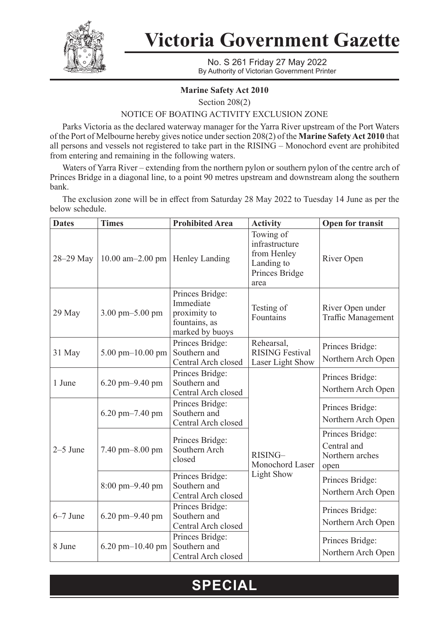

**Victoria Government Gazette**

No. S 261 Friday 27 May 2022 By Authority of Victorian Government Printer

### **Marine Safety Act 2010**

Section 208(2)

#### NOTICE OF BOATING ACTIVITY EXCLUSION ZONE

Parks Victoria as the declared waterway manager for the Yarra River upstream of the Port Waters of the Port of Melbourne hereby gives notice under section 208(2) of the **Marine Safety Act 2010** that all persons and vessels not registered to take part in the RISING – Monochord event are prohibited from entering and remaining in the following waters.

Waters of Yarra River – extending from the northern pylon or southern pylon of the centre arch of Princes Bridge in a diagonal line, to a point 90 metres upstream and downstream along the southern bank.

The exclusion zone will be in effect from Saturday 28 May 2022 to Tuesday 14 June as per the below schedule.

| <b>Dates</b> | <b>Times</b>                         | <b>Prohibited Area</b>                                                           | <b>Activity</b>                                                                    | <b>Open for transit</b>                                   |
|--------------|--------------------------------------|----------------------------------------------------------------------------------|------------------------------------------------------------------------------------|-----------------------------------------------------------|
| 28-29 May    | 10.00 am $-2.00$ pm   Henley Landing |                                                                                  | Towing of<br>infrastructure<br>from Henley<br>Landing to<br>Princes Bridge<br>area | River Open                                                |
| 29 May       | $3.00$ pm $-5.00$ pm                 | Princes Bridge:<br>Immediate<br>proximity to<br>fountains, as<br>marked by buoys | Testing of<br>Fountains                                                            | River Open under<br>Traffic Management                    |
| 31 May       | $5.00$ pm $-10.00$ pm                | Princes Bridge:<br>Southern and<br>Central Arch closed                           | Rehearsal,<br><b>RISING Festival</b><br>Laser Light Show                           | Princes Bridge:<br>Northern Arch Open                     |
| 1 June       | $6.20$ pm $-9.40$ pm                 | Princes Bridge:<br>Southern and<br>Central Arch closed                           | $RISING-$<br>Monochord Laser<br>Light Show                                         | Princes Bridge:<br>Northern Arch Open                     |
| $2-5$ June   | $6.20$ pm $-7.40$ pm                 | Princes Bridge:<br>Southern and<br>Central Arch closed                           |                                                                                    | Princes Bridge:<br>Northern Arch Open                     |
|              | 7.40 pm $-8.00$ pm                   | Princes Bridge:<br>Southern Arch<br>closed                                       |                                                                                    | Princes Bridge:<br>Central and<br>Northern arches<br>open |
|              | 8:00 pm-9.40 pm                      | Princes Bridge:<br>Southern and<br>Central Arch closed                           |                                                                                    | Princes Bridge:<br>Northern Arch Open                     |
| $6-7$ June   | $6.20$ pm $-9.40$ pm                 | Princes Bridge:<br>Southern and<br>Central Arch closed                           |                                                                                    | Princes Bridge:<br>Northern Arch Open                     |
| 8 June       | $6.20$ pm $-10.40$ pm                | Princes Bridge:<br>Southern and<br>Central Arch closed                           |                                                                                    | Princes Bridge:<br>Northern Arch Open                     |

## **SPECIAL**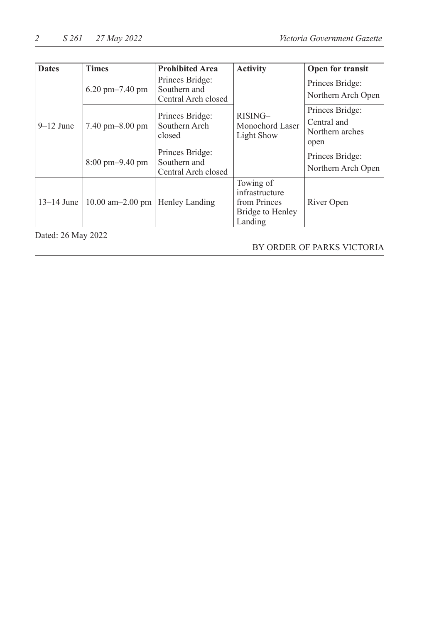| <b>Dates</b> | <b>Times</b>                         | <b>Prohibited Area</b>                                 | <b>Activity</b>                                                            | Open for transit                                          |
|--------------|--------------------------------------|--------------------------------------------------------|----------------------------------------------------------------------------|-----------------------------------------------------------|
| $9-12$ June  | $6.20 \text{ pm} - 7.40 \text{ pm}$  | Princes Bridge:<br>Southern and<br>Central Arch closed | $RISING-$<br>Monochord Laser<br>Light Show                                 | Princes Bridge:<br>Northern Arch Open                     |
|              | 7.40 pm $-8.00$ pm                   | Princes Bridge:<br>Southern Arch<br>closed             |                                                                            | Princes Bridge:<br>Central and<br>Northern arches<br>open |
|              | $8:00 \text{ pm} - 9.40 \text{ pm}$  | Princes Bridge:<br>Southern and<br>Central Arch closed |                                                                            | Princes Bridge:<br>Northern Arch Open                     |
| $13-14$ June | 10.00 am $-2.00$ pm   Henley Landing |                                                        | Towing of<br>infrastructure<br>from Princes<br>Bridge to Henley<br>Landing | River Open                                                |

Dated: 26 May 2022

### BY ORDER OF PARKS VICTORIA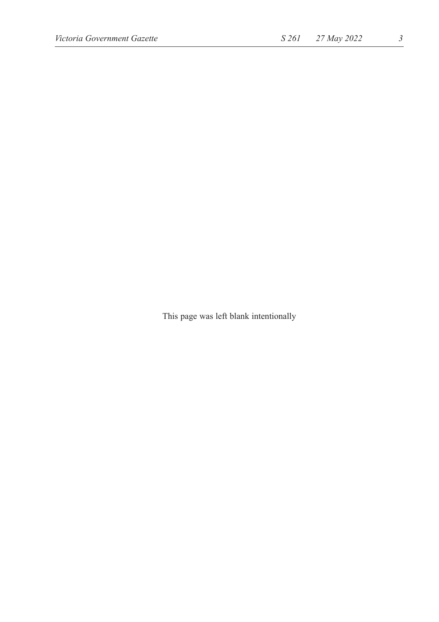This page was left blank intentionally